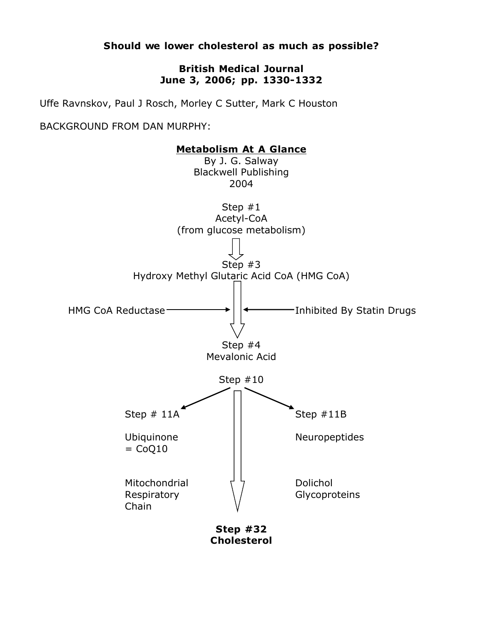**Should we lower cholesterol as much as possible?**

## **British Medical Journal June 3, 2006; pp. 1330-1332**

Uffe Ravnskov, Paul J Rosch, Morley C Sutter, Mark C Houston

BACKGROUND FROM DAN MURPHY:



**Cholesterol**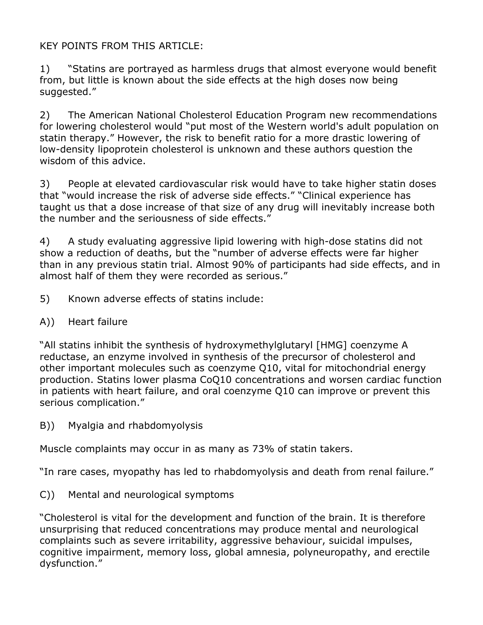## KEY POINTS FROM THIS ARTICLE:

1) "Statins are portrayed as harmless drugs that almost everyone would benefit from, but little is known about the side effects at the high doses now being suggested."

2) The American National Cholesterol Education Program new recommendations for lowering cholesterol would "put most of the Western world's adult population on statin therapy." However, the risk to benefit ratio for a more drastic lowering of low-density lipoprotein cholesterol is unknown and these authors question the wisdom of this advice.

3) People at elevated cardiovascular risk would have to take higher statin doses that "would increase the risk of adverse side effects." "Clinical experience has taught us that a dose increase of that size of any drug will inevitably increase both the number and the seriousness of side effects."

4) A study evaluating aggressive lipid lowering with high-dose statins did not show a reduction of deaths, but the "number of adverse effects were far higher than in any previous statin trial. Almost 90% of participants had side effects, and in almost half of them they were recorded as serious."

- 5) Known adverse effects of statins include:
- A)) Heart failure

"All statins inhibit the synthesis of hydroxymethylglutaryl [HMG] coenzyme A reductase, an enzyme involved in synthesis of the precursor of cholesterol and other important molecules such as coenzyme Q10, vital for mitochondrial energy production. Statins lower plasma CoQ10 concentrations and worsen cardiac function in patients with heart failure, and oral coenzyme Q10 can improve or prevent this serious complication."

B)) Myalgia and rhabdomyolysis

Muscle complaints may occur in as many as 73% of statin takers.

"In rare cases, myopathy has led to rhabdomyolysis and death from renal failure."

C)) Mental and neurological symptoms

"Cholesterol is vital for the development and function of the brain. It is therefore unsurprising that reduced concentrations may produce mental and neurological complaints such as severe irritability, aggressive behaviour, suicidal impulses, cognitive impairment, memory loss, global amnesia, polyneuropathy, and erectile dysfunction."